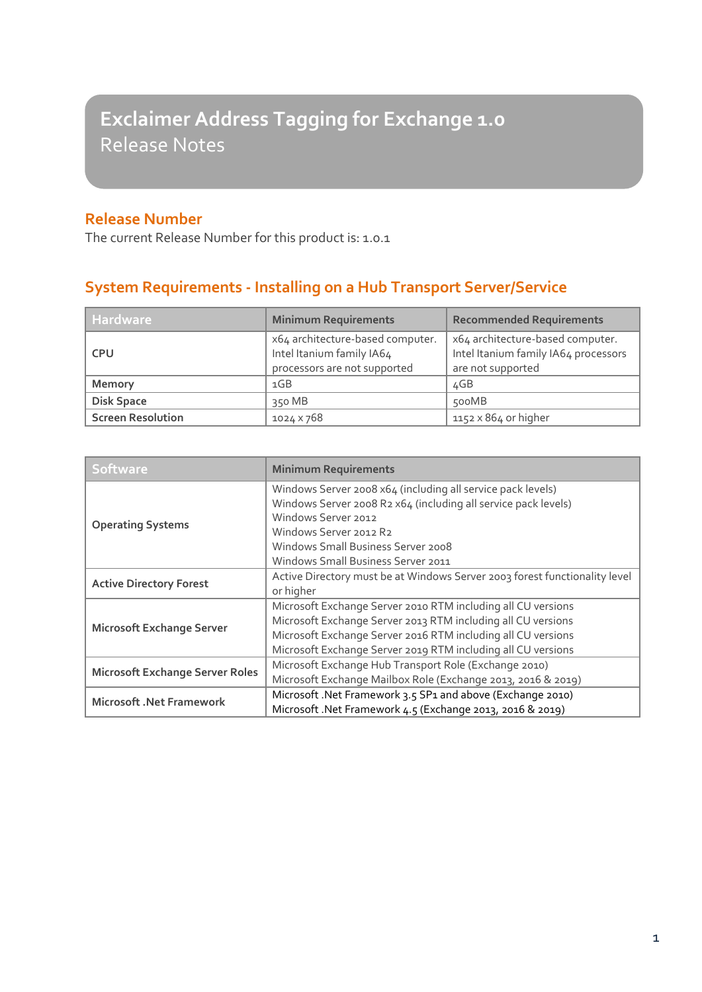# **Exclaimer Address Tagging for Exchange 1.0** Release Notes

## **Release Number**

The current Release Number for this product is: 1.0.1

# **System Requirements - Installing on a Hub Transport Server/Service**

| <b>Hardware</b>          | <b>Minimum Requirements</b>                                                                   | <b>Recommended Requirements</b>                                                               |
|--------------------------|-----------------------------------------------------------------------------------------------|-----------------------------------------------------------------------------------------------|
| <b>CPU</b>               | x64 architecture-based computer.<br>Intel Itanium family IA64<br>processors are not supported | x64 architecture-based computer.<br>Intel Itanium family IA64 processors<br>are not supported |
| <b>Memory</b>            | 1GB                                                                                           | 4GB                                                                                           |
| <b>Disk Space</b>        | 350 MB                                                                                        | 500MB                                                                                         |
| <b>Screen Resolution</b> | 1024 × 768                                                                                    | 1152 x 864 or higher                                                                          |

| <b>Software</b>                        | <b>Minimum Requirements</b>                                                |  |
|----------------------------------------|----------------------------------------------------------------------------|--|
| <b>Operating Systems</b>               | Windows Server 2008 x64 (including all service pack levels)                |  |
|                                        | Windows Server 2008 R2 x64 (including all service pack levels)             |  |
|                                        | Windows Server 2012                                                        |  |
|                                        | Windows Server 2012 R2                                                     |  |
|                                        | Windows Small Business Server 2008                                         |  |
|                                        | Windows Small Business Server 2011                                         |  |
| <b>Active Directory Forest</b>         | Active Directory must be at Windows Server 2003 forest functionality level |  |
|                                        | or higher                                                                  |  |
| <b>Microsoft Exchange Server</b>       | Microsoft Exchange Server 2010 RTM including all CU versions               |  |
|                                        | Microsoft Exchange Server 2013 RTM including all CU versions               |  |
|                                        | Microsoft Exchange Server 2016 RTM including all CU versions               |  |
|                                        | Microsoft Exchange Server 2019 RTM including all CU versions               |  |
| <b>Microsoft Exchange Server Roles</b> | Microsoft Exchange Hub Transport Role (Exchange 2010)                      |  |
|                                        | Microsoft Exchange Mailbox Role (Exchange 2013, 2016 & 2019)               |  |
| <b>Microsoft .Net Framework</b>        | Microsoft .Net Framework 3.5 SP1 and above (Exchange 2010)                 |  |
|                                        | Microsoft .Net Framework 4.5 (Exchange 2013, 2016 & 2019)                  |  |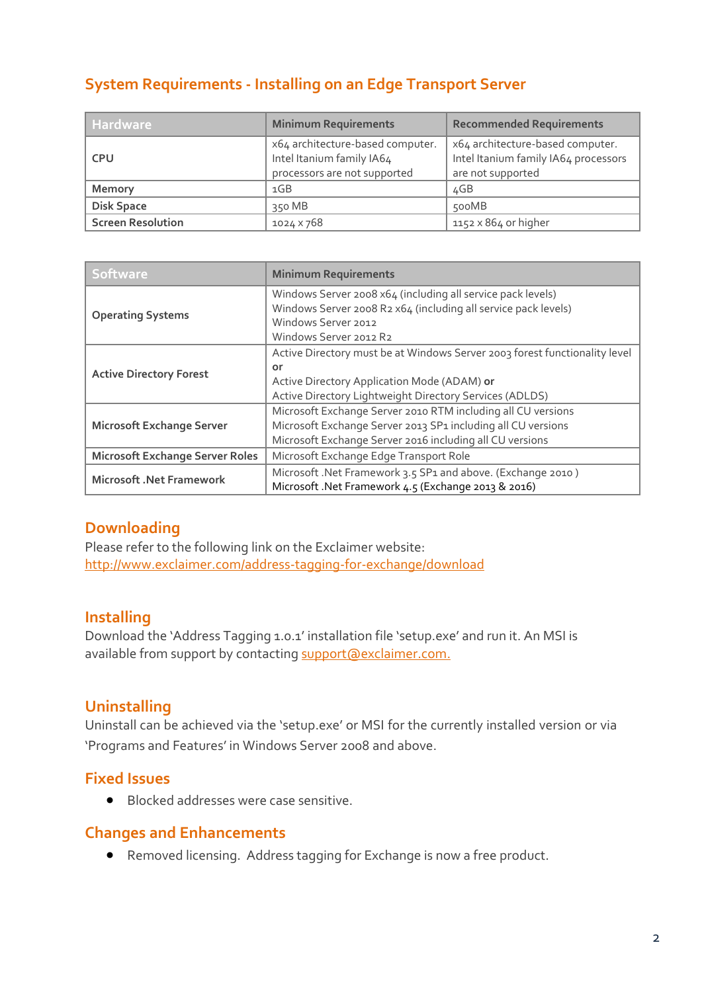# **System Requirements - Installing on an Edge Transport Server**

| <b>Hardware</b>          | <b>Minimum Requirements</b>                                                                   | <b>Recommended Requirements</b>                                                               |
|--------------------------|-----------------------------------------------------------------------------------------------|-----------------------------------------------------------------------------------------------|
| <b>CPU</b>               | x64 architecture-based computer.<br>Intel Itanium family IA64<br>processors are not supported | x64 architecture-based computer.<br>Intel Itanium family IA64 processors<br>are not supported |
| Memory                   | 1GB                                                                                           | 4GB                                                                                           |
| <b>Disk Space</b>        | 350 MB                                                                                        | 500MB                                                                                         |
| <b>Screen Resolution</b> | 1024 × 768                                                                                    | $1152 \times 864$ or higher                                                                   |

| <b>Software</b>                        | <b>Minimum Requirements</b>                                                |  |
|----------------------------------------|----------------------------------------------------------------------------|--|
| <b>Operating Systems</b>               | Windows Server 2008 x64 (including all service pack levels)                |  |
|                                        | Windows Server 2008 R2 x64 (including all service pack levels)             |  |
|                                        | Windows Server 2012                                                        |  |
|                                        | Windows Server 2012 R2                                                     |  |
| <b>Active Directory Forest</b>         | Active Directory must be at Windows Server 2003 forest functionality level |  |
|                                        | or                                                                         |  |
|                                        | Active Directory Application Mode (ADAM) or                                |  |
|                                        | Active Directory Lightweight Directory Services (ADLDS)                    |  |
| <b>Microsoft Exchange Server</b>       | Microsoft Exchange Server 2010 RTM including all CU versions               |  |
|                                        | Microsoft Exchange Server 2013 SP1 including all CU versions               |  |
|                                        | Microsoft Exchange Server 2016 including all CU versions                   |  |
| <b>Microsoft Exchange Server Roles</b> | Microsoft Exchange Edge Transport Role                                     |  |
| <b>Microsoft .Net Framework</b>        | Microsoft .Net Framework 3.5 SP1 and above. (Exchange 2010)                |  |
|                                        | Microsoft .Net Framework 4.5 (Exchange 2013 & 2016)                        |  |

## **Downloading**

Please refer to the following link on the Exclaimer website: http://www.exclaimer.com/address-tagging-for-exchange/download

## **Installing**

Download the 'Address Tagging 1.0.1' installation file 'setup.exe' and run it. An MSI is available from support by contactin[g support@exclaimer.com.](mailto:support@exclaimer.com)

# **Uninstalling**

Uninstall can be achieved via the 'setup.exe' or MSI for the currently installed version or via 'Programs and Features' in Windows Server 2008 and above.

## **Fixed Issues**

Blocked addresses were case sensitive.

#### **Changes and Enhancements**

Removed licensing. Address tagging for Exchange is now a free product.